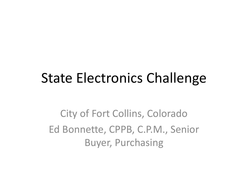#### State Electronics Challenge

City of Fort Collins, Colorado Ed Bonnette, CPPB, C.P.M., Senior Buyer, Purchasing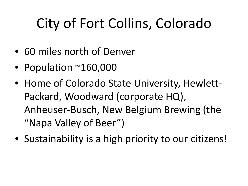# City of Fort Collins, Colorado

- 60 miles north of Denver
- Population ~160,000
- Home of Colorado State University, Hewlett-Packard, Woodward (corporate HQ), Anheuser-Busch, New Belgium Brewing (the "Napa Valley of Beer")
- Sustainability is a high priority to our citizens!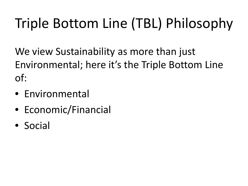# Triple Bottom Line (TBL) Philosophy

We view Sustainability as more than just Environmental; here it's the Triple Bottom Line of:

- Environmental
- Economic/Financial
- Social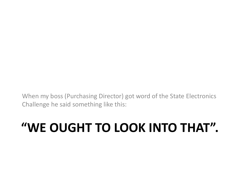When my boss (Purchasing Director) got word of the State Electronics Challenge he said something like this:

#### **"WE OUGHT TO LOOK INTO THAT".**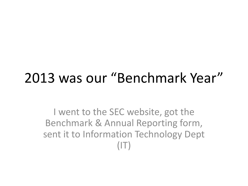### 2013 was our "Benchmark Year"

I went to the SEC website, got the Benchmark & Annual Reporting form, sent it to Information Technology Dept  $(\vert \top)$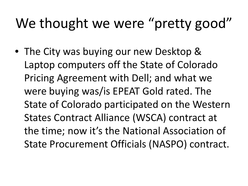## We thought we were "pretty good"

• The City was buying our new Desktop & Laptop computers off the State of Colorado Pricing Agreement with Dell; and what we were buying was/is EPEAT Gold rated. The State of Colorado participated on the Western States Contract Alliance (WSCA) contract at the time; now it's the National Association of State Procurement Officials (NASPO) contract.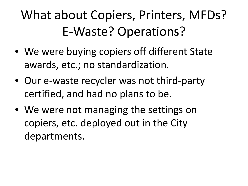## What about Copiers, Printers, MFDs? E-Waste? Operations?

- We were buying copiers off different State awards, etc.; no standardization.
- Our e-waste recycler was not third-party certified, and had no plans to be.
- We were not managing the settings on copiers, etc. deployed out in the City departments.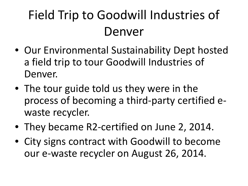## Field Trip to Goodwill Industries of Denver

- Our Environmental Sustainability Dept hosted a field trip to tour Goodwill Industries of Denver.
- The tour guide told us they were in the process of becoming a third-party certified ewaste recycler.
- They became R2-certified on June 2, 2014.
- City signs contract with Goodwill to become our e-waste recycler on August 26, 2014.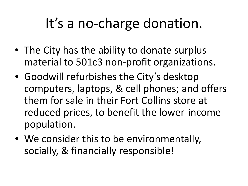## It's a no-charge donation.

- The City has the ability to donate surplus material to 501c3 non-profit organizations.
- Goodwill refurbishes the City's desktop computers, laptops, & cell phones; and offers them for sale in their Fort Collins store at reduced prices, to benefit the lower-income population.
- We consider this to be environmentally, socially, & financially responsible!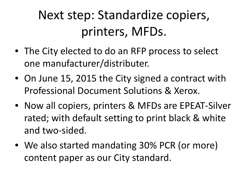## Next step: Standardize copiers, printers, MFDs.

- The City elected to do an RFP process to select one manufacturer/distributer.
- On June 15, 2015 the City signed a contract with Professional Document Solutions & Xerox.
- Now all copiers, printers & MFDs are EPEAT-Silver rated; with default setting to print black & white and two-sided.
- We also started mandating 30% PCR (or more) content paper as our City standard.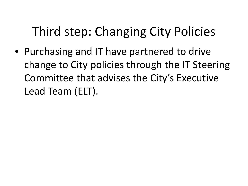### Third step: Changing City Policies

• Purchasing and IT have partnered to drive change to City policies through the IT Steering Committee that advises the City's Executive Lead Team (ELT).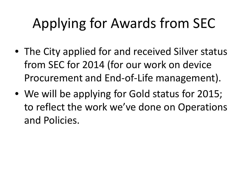# Applying for Awards from SEC

- The City applied for and received Silver status from SEC for 2014 (for our work on device Procurement and End-of-Life management).
- We will be applying for Gold status for 2015; to reflect the work we've done on Operations and Policies.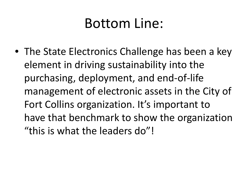### Bottom Line:

• The State Electronics Challenge has been a key element in driving sustainability into the purchasing, deployment, and end-of-life management of electronic assets in the City of Fort Collins organization. It's important to have that benchmark to show the organization "this is what the leaders do"!